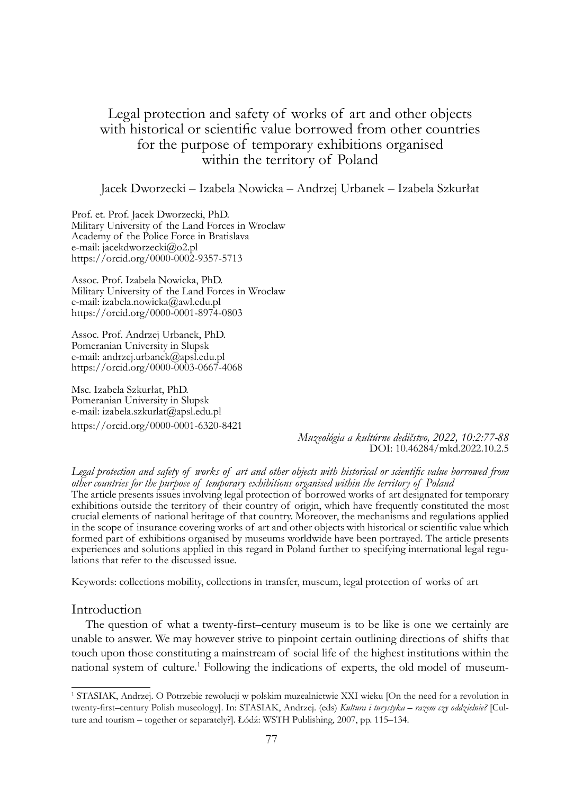# Legal protection and safety of works of art and other objects with historical or scientific value borrowed from other countries for the purpose of temporary exhibitions organised within the territory of Poland

Jacek Dworzecki – Izabela Nowicka – Andrzej Urbanek – Izabela Szkurłat

Prof. et. Prof. Jacek Dworzecki, PhD. Military University of the Land Forces in Wroclaw Academy of the Police Force in Bratislava e-mail: jacekdworzecki@o2.pl https://orcid.org/0000-0002-9357-5713

Assoc. Prof. Izabela Nowicka, PhD. Military University of the Land Forces in Wroclaw e-mail: izabela.nowicka@awl.edu.pl https://orcid.org/0000-0001-8974-0803

Assoc. Prof. Andrzej Urbanek, PhD. Pomeranian University in Slupsk e-mail: andrzej.urbanek@apsl.edu.pl https://orcid.org/0000-0003-0667-4068

Msc. Izabela Szkurłat, PhD. Pomeranian University in Slupsk e-mail: izabela.szkurlat@apsl.edu.pl https://orcid.org/0000-0001-6320-8421

> *Muzeológia a kultúrne dedičstvo, 2022, 10:2:77-88* DOI: 10.46284/mkd.2022.10.2.5

*Legal protection and safety of works of art and other objects with historical or scientific value borrowed from other countries for the purpose of temporary exhibitions organised within the territory of Poland* The article presents issues involving legal protection of borrowed works of art designated for temporary exhibitions outside the territory of their country of origin, which have frequently constituted the most crucial elements of national heritage of that country. Moreover, the mechanisms and regulations applied in the scope of insurance covering works of art and other objects with historical or scientific value which formed part of exhibitions organised by museums worldwide have been portrayed. The article presents experiences and solutions applied in this regard in Poland further to specifying international legal regu- lations that refer to the discussed issue.

Keywords: collections mobility, collections in transfer, museum, legal protection of works of art

#### Introduction

The question of what a twenty-first–century museum is to be like is one we certainly are unable to answer. We may however strive to pinpoint certain outlining directions of shifts that touch upon those constituting a mainstream of social life of the highest institutions within the national system of culture.<sup>1</sup> Following the indications of experts, the old model of museum-

<sup>1</sup> STASIAK, Andrzej. O Potrzebie rewolucji w polskim muzealnictwie XXI wieku [On the need for a revolution in twenty-first–century Polish museology]. In: STASIAK, Andrzej. (eds) *Kultura i turystyka – razem czy oddzielnie?* [Culture and tourism – together or separately?]. Łódź: WSTH Publishing, 2007, pp. 115–134.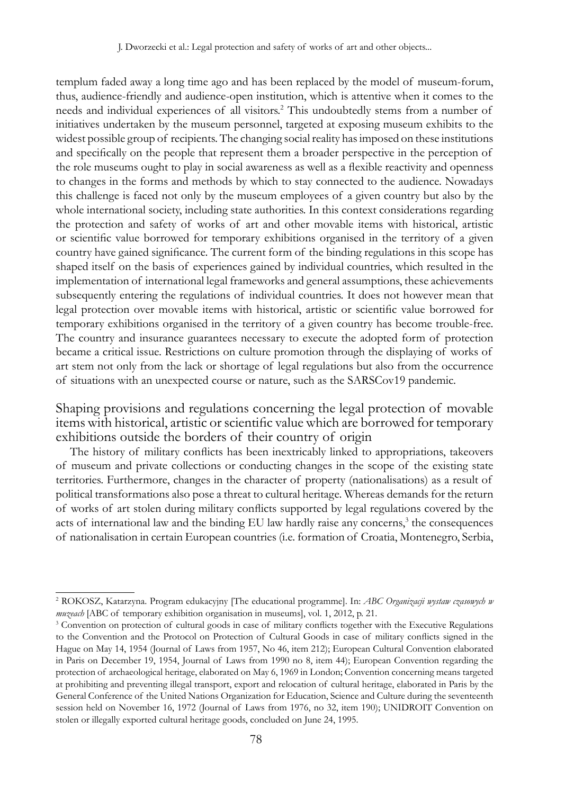templum faded away a long time ago and has been replaced by the model of museum-forum, thus, audience-friendly and audience-open institution, which is attentive when it comes to the needs and individual experiences of all visitors.2 This undoubtedly stems from a number of initiatives undertaken by the museum personnel, targeted at exposing museum exhibits to the widest possible group of recipients. The changing social reality has imposed on these institutions and specifically on the people that represent them a broader perspective in the perception of the role museums ought to play in social awareness as well as a flexible reactivity and openness to changes in the forms and methods by which to stay connected to the audience. Nowadays this challenge is faced not only by the museum employees of a given country but also by the whole international society, including state authorities. In this context considerations regarding the protection and safety of works of art and other movable items with historical, artistic or scientific value borrowed for temporary exhibitions organised in the territory of a given country have gained significance. The current form of the binding regulations in this scope has shaped itself on the basis of experiences gained by individual countries, which resulted in the implementation of international legal frameworks and general assumptions, these achievements subsequently entering the regulations of individual countries. It does not however mean that legal protection over movable items with historical, artistic or scientific value borrowed for temporary exhibitions organised in the territory of a given country has become trouble-free. The country and insurance guarantees necessary to execute the adopted form of protection became a critical issue. Restrictions on culture promotion through the displaying of works of art stem not only from the lack or shortage of legal regulations but also from the occurrence of situations with an unexpected course or nature, such as the SARSCov19 pandemic.

Shaping provisions and regulations concerning the legal protection of movable items with historical, artistic or scientific value which are borrowed for temporary exhibitions outside the borders of their country of origin

The history of military conflicts has been inextricably linked to appropriations, takeovers of museum and private collections or conducting changes in the scope of the existing state territories. Furthermore, changes in the character of property (nationalisations) as a result of political transformations also pose a threat to cultural heritage. Whereas demands for the return of works of art stolen during military conflicts supported by legal regulations covered by the acts of international law and the binding EU law hardly raise any concerns,<sup>3</sup> the consequences of nationalisation in certain European countries (i.e. formation of Croatia, Montenegro, Serbia,

<sup>2</sup> ROKOSZ, Katarzyna. Program edukacyjny [The educational programme]. In: *ABC Organizacji wystaw czasowych w muzeach* [ABC of temporary exhibition organisation in museums], vol. 1, 2012, p. 21.

<sup>&</sup>lt;sup>3</sup> Convention on protection of cultural goods in case of military conflicts together with the Executive Regulations to the Convention and the Protocol on Protection of Cultural Goods in case of military conflicts signed in the Hague on May 14, 1954 (Journal of Laws from 1957, No 46, item 212); European Cultural Convention elaborated in Paris on December 19, 1954, Journal of Laws from 1990 no 8, item 44); European Convention regarding the protection of archaeological heritage, elaborated on May 6, 1969 in London; Convention concerning means targeted at prohibiting and preventing illegal transport, export and relocation of cultural heritage, elaborated in Paris by the General Conference of the United Nations Organization for Education, Science and Culture during the seventeenth session held on November 16, 1972 (Journal of Laws from 1976, no 32, item 190); UNIDROIT Convention on stolen or illegally exported cultural heritage goods, concluded on June 24, 1995.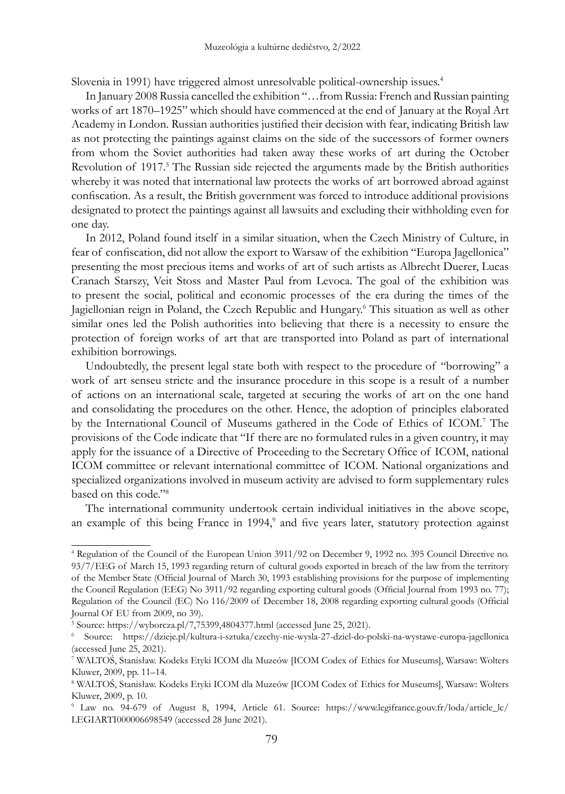Slovenia in 1991) have triggered almost unresolvable political-ownership issues.<sup>4</sup>

In January 2008 Russia cancelled the exhibition "…from Russia: French and Russian painting works of art 1870–1925" which should have commenced at the end of January at the Royal Art Academy in London. Russian authorities justified their decision with fear, indicating British law as not protecting the paintings against claims on the side of the successors of former owners from whom the Soviet authorities had taken away these works of art during the October Revolution of 1917.<sup>5</sup> The Russian side rejected the arguments made by the British authorities whereby it was noted that international law protects the works of art borrowed abroad against confiscation. As a result, the British government was forced to introduce additional provisions designated to protect the paintings against all lawsuits and excluding their withholding even for one day.

In 2012, Poland found itself in a similar situation, when the Czech Ministry of Culture, in fear of confiscation, did not allow the export to Warsaw of the exhibition "Europa Jagellonica" presenting the most precious items and works of art of such artists as Albrecht Duerer, Lucas Cranach Starszy, Veit Stoss and Master Paul from Levoca. The goal of the exhibition was to present the social, political and economic processes of the era during the times of the Jagiellonian reign in Poland, the Czech Republic and Hungary.<sup>6</sup> This situation as well as other similar ones led the Polish authorities into believing that there is a necessity to ensure the protection of foreign works of art that are transported into Poland as part of international exhibition borrowings.

Undoubtedly, the present legal state both with respect to the procedure of "borrowing" a work of art senseu stricte and the insurance procedure in this scope is a result of a number of actions on an international scale, targeted at securing the works of art on the one hand and consolidating the procedures on the other. Hence, the adoption of principles elaborated by the International Council of Museums gathered in the Code of Ethics of ICOM.<sup>7</sup> The provisions of the Code indicate that "If there are no formulated rules in a given country, it may apply for the issuance of a Directive of Proceeding to the Secretary Office of ICOM, national ICOM committee or relevant international committee of ICOM. National organizations and specialized organizations involved in museum activity are advised to form supplementary rules based on this code."8 

The international community undertook certain individual initiatives in the above scope, an example of this being France in 1994,<sup>9</sup> and five years later, statutory protection against

<sup>4</sup> Regulation of the Council of the European Union 3911/92 on December 9, 1992 no. 395 Council Directive no. 93/7/EEG of March 15, 1993 regarding return of cultural goods exported in breach of the law from the territory of the Member State (Official Journal of March 30, 1993 establishing provisions for the purpose of implementing the Council Regulation (EEG) No 3911/92 regarding exporting cultural goods (Official Journal from 1993 no. 77); Regulation of the Council (EC) No 116/2009 of December 18, 2008 regarding exporting cultural goods (Official Journal Of EU from 2009, no 39).

<sup>5</sup> Source: https://wyborcza.pl/7,75399,4804377.html (accessed June 25, 2021).

<sup>6</sup> Source: https://dzieje.pl/kultura-i-sztuka/czechy-nie-wysla-27-dziel-do-polski-na-wystawe-europa-jagellonica (accessed June 25, 2021).

<sup>7</sup> WALTOŚ, Stanisław. Kodeks Etyki ICOM dla Muzeów [ICOM Codex of Ethics for Museums], Warsaw: Wolters Kluwer, 2009, pp. 11–14.

<sup>8</sup> WALTOŚ, Stanisław. Kodeks Etyki ICOM dla Muzeów [ICOM Codex of Ethics for Museums], Warsaw: Wolters Kluwer, 2009, p. 10.

<sup>9</sup> Law no. 94-679 of August 8, 1994, Article 61. Source: https://www.legifrance.gouv.fr/loda/article\_lc/ LEGIARTI000006698549 (accessed 28 June 2021).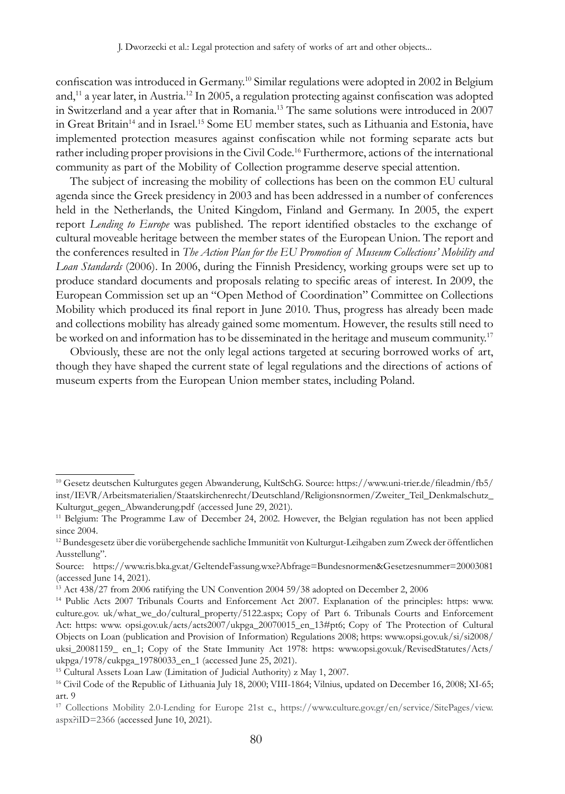confiscation was introduced in Germany.10 Similar regulations were adopted in 2002 in Belgium and,<sup>11</sup> a year later, in Austria.<sup>12</sup> In 2005, a regulation protecting against confiscation was adopted in Switzerland and a year after that in Romania.13 The same solutions were introduced in 2007 in Great Britain<sup>14</sup> and in Israel.<sup>15</sup> Some EU member states, such as Lithuania and Estonia, have implemented protection measures against confiscation while not forming separate acts but rather including proper provisions in the Civil Code.<sup>16</sup> Furthermore, actions of the international community as part of the Mobility of Collection programme deserve special attention.

The subject of increasing the mobility of collections has been on the common EU cultural agenda since the Greek presidency in 2003 and has been addressed in a number of conferences held in the Netherlands, the United Kingdom, Finland and Germany. In 2005, the expert report *Lending to Europe* was published. The report identified obstacles to the exchange of cultural moveable heritage between the member states of the European Union. The report and the conferences resulted in *The Action Plan for the EU Promotion of Museum Collections' Mobility and Loan Standards* (2006). In 2006, during the Finnish Presidency, working groups were set up to produce standard documents and proposals relating to specific areas of interest. In 2009, the European Commission set up an "Open Method of Coordination" Committee on Collections Mobility which produced its final report in June 2010. Thus, progress has already been made and collections mobility has already gained some momentum. However, the results still need to be worked on and information has to be disseminated in the heritage and museum community.<sup>17</sup>

Obviously, these are not the only legal actions targeted at securing borrowed works of art, though they have shaped the current state of legal regulations and the directions of actions of museum experts from the European Union member states, including Poland.

<sup>10</sup> Gesetz deutschen Kulturgutes gegen Abwanderung, KultSchG. Source: https://www.uni-trier.de/fileadmin/fb5/ inst/IEVR/Arbeitsmaterialien/Staatskirchenrecht/Deutschland/Religionsnormen/Zweiter\_Teil\_Denkmalschutz\_ Kulturgut\_gegen\_Abwanderung.pdf (accessed June 29, 2021).

<sup>&</sup>lt;sup>11</sup> Belgium: The Programme Law of December 24, 2002. However, the Belgian regulation has not been applied since 2004.

<sup>12</sup> Bundesgesetz über die vorübergehende sachliche Immunität von Kulturgut-Leihgaben zum Zweck der öffentlichen Ausstellung".

Source: https://www.ris.bka.gv.at/GeltendeFassung.wxe?Abfrage=Bundesnormen&Gesetzesnummer=20003081 (accessed June 14, 2021).

<sup>&</sup>lt;sup>13</sup> Act 438/27 from 2006 ratifying the UN Convention 2004 59/38 adopted on December 2, 2006

<sup>14</sup> Public Acts 2007 Tribunals Courts and Enforcement Act 2007. Explanation of the principles: https: www. culture.gov. uk/what\_we\_do/cultural\_property/5122.aspx; Copy of Part 6. Tribunals Courts and Enforcement Act: https: www. opsi.gov.uk/acts/acts2007/ukpga\_20070015\_en\_13#pt6; Copy of The Protection of Cultural Objects on Loan (publication and Provision of Information) Regulations 2008; https: www.opsi.gov.uk/si/si2008/ uksi\_20081159\_ en\_1; Copy of the State Immunity Act 1978: https: www.opsi.gov.uk/RevisedStatutes/Acts/ ukpga/1978/cukpga\_19780033\_en\_1 (accessed June 25, 2021).

<sup>15</sup> Cultural Assets Loan Law (Limitation of Judicial Authority) z May 1, 2007.

<sup>&</sup>lt;sup>16</sup> Civil Code of the Republic of Lithuania July 18, 2000; VIII-1864; Vilnius, updated on December 16, 2008; XI-65; art. 9

<sup>17</sup> Collections Mobility 2.0-Lending for Europe 21st c., https://www.culture.gov.gr/en/service/SitePages/view. aspx?iID=2366 (accessed June 10, 2021).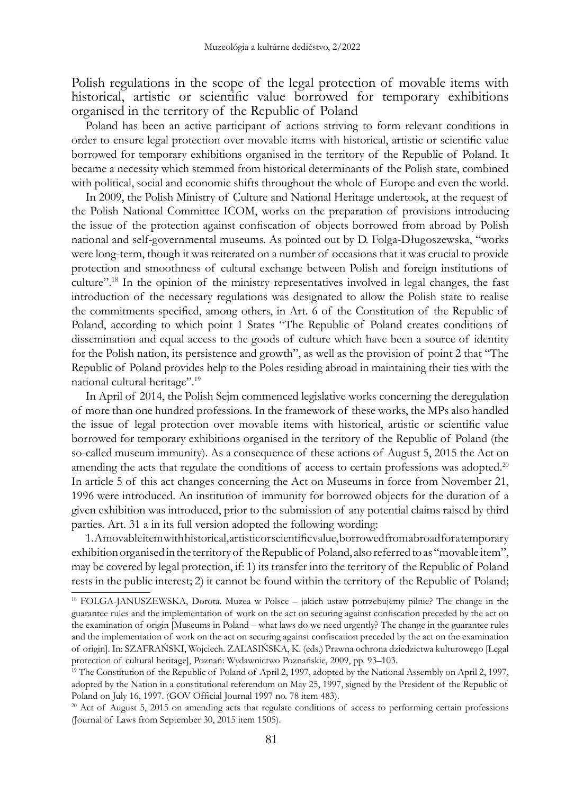Polish regulations in the scope of the legal protection of movable items with historical, artistic or scientific value borrowed for temporary exhibitions organised in the territory of the Republic of Poland

Poland has been an active participant of actions striving to form relevant conditions in order to ensure legal protection over movable items with historical, artistic or scientific value borrowed for temporary exhibitions organised in the territory of the Republic of Poland. It became a necessity which stemmed from historical determinants of the Polish state, combined with political, social and economic shifts throughout the whole of Europe and even the world.

In 2009, the Polish Ministry of Culture and National Heritage undertook, at the request of the Polish National Committee ICOM, works on the preparation of provisions introducing the issue of the protection against confiscation of objects borrowed from abroad by Polish national and self-governmental museums. As pointed out by D. Folga-Długoszewska, "works were long-term, though it was reiterated on a number of occasions that it was crucial to provide protection and smoothness of cultural exchange between Polish and foreign institutions of culture".18 In the opinion of the ministry representatives involved in legal changes, the fast introduction of the necessary regulations was designated to allow the Polish state to realise the commitments specified, among others, in Art. 6 of the Constitution of the Republic of Poland, according to which point 1 States "The Republic of Poland creates conditions of dissemination and equal access to the goods of culture which have been a source of identity for the Polish nation, its persistence and growth", as well as the provision of point 2 that "The Republic of Poland provides help to the Poles residing abroad in maintaining their ties with the national cultural heritage".<sup>19</sup>

In April of 2014, the Polish Sejm commenced legislative works concerning the deregulation of more than one hundred professions. In the framework of these works, the MPs also handled the issue of legal protection over movable items with historical, artistic or scientific value borrowed for temporary exhibitions organised in the territory of the Republic of Poland (the so-called museum immunity). As a consequence of these actions of August 5, 2015 the Act on amending the acts that regulate the conditions of access to certain professions was adopted.<sup>20</sup> In article 5 of this act changes concerning the Act on Museums in force from November 21, 1996 were introduced. An institution of immunity for borrowed objects for the duration of a given exhibition was introduced, prior to the submission of any potential claims raised by third parties. Art. 31 a in its full version adopted the following wording:

1. A movable item with historical, artistic or scientific value, borrowed from abroad for a temporary exhibition organised in the territory of the Republic of Poland, also referred to as "movable item", may be covered by legal protection, if: 1) its transfer into the territory of the Republic of Poland rests in the public interest; 2) it cannot be found within the territory of the Republic of Poland;

<sup>18</sup> FOLGA-JANUSZEWSKA, Dorota. Muzea w Polsce – jakich ustaw potrzebujemy pilnie? The change in the guarantee rules and the implementation of work on the act on securing against confiscation preceded by the act on the examination of origin [Museums in Poland – what laws do we need urgently? The change in the guarantee rules and the implementation of work on the act on securing against confiscation preceded by the act on the examination of origin]. In: SZAFRAŃSKI, Wojciech. ZALASIŃSKA, K. (eds.) Prawna ochrona dziedzictwa kulturowego [Legal protection of cultural heritage], Poznań: Wydawnictwo Poznańskie, 2009, pp. 93–103.

<sup>&</sup>lt;sup>19</sup> The Constitution of the Republic of Poland of April 2, 1997, adopted by the National Assembly on April 2, 1997, adopted by the Nation in a constitutional referendum on May 25, 1997, signed by the President of the Republic of Poland on July 16, 1997. (GOV Official Journal 1997 no. 78 item 483).

<sup>&</sup>lt;sup>20</sup> Act of August 5, 2015 on amending acts that regulate conditions of access to performing certain professions (Journal of Laws from September 30, 2015 item 1505).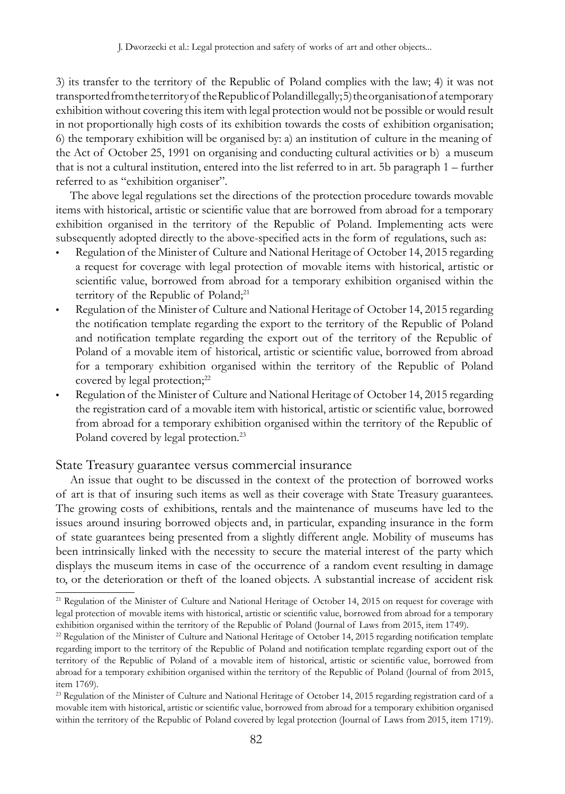3) its transfer to the territory of the Republic of Poland complies with the law; 4) it was not transported from the territory of the Republic of Poland illegally; 5) the organisation of a temporary exhibition without covering this item with legal protection would not be possible or would result in not proportionally high costs of its exhibition towards the costs of exhibition organisation; 6) the temporary exhibition will be organised by: a) an institution of culture in the meaning of the Act of October 25, 1991 on organising and conducting cultural activities or b) a museum that is not a cultural institution, entered into the list referred to in art. 5b paragraph 1 – further referred to as "exhibition organiser".

The above legal regulations set the directions of the protection procedure towards movable items with historical, artistic or scientific value that are borrowed from abroad for a temporary exhibition organised in the territory of the Republic of Poland. Implementing acts were subsequently adopted directly to the above-specified acts in the form of regulations, such as:

- Regulation of the Minister of Culture and National Heritage of October 14, 2015 regarding a request for coverage with legal protection of movable items with historical, artistic or scientific value, borrowed from abroad for a temporary exhibition organised within the territory of the Republic of Poland;<sup>21</sup>
- Regulation of the Minister of Culture and National Heritage of October 14, 2015 regarding the notification template regarding the export to the territory of the Republic of Poland and notification template regarding the export out of the territory of the Republic of Poland of a movable item of historical, artistic or scientific value, borrowed from abroad for a temporary exhibition organised within the territory of the Republic of Poland covered by legal protection;<sup>22</sup>
- • Regulation of the Minister of Culture and National Heritage of October 14, 2015 regarding the registration card of a movable item with historical, artistic or scientific value, borrowed from abroad for a temporary exhibition organised within the territory of the Republic of Poland covered by legal protection.<sup>23</sup>

### State Treasury guarantee versus commercial insurance

An issue that ought to be discussed in the context of the protection of borrowed works of art is that of insuring such items as well as their coverage with State Treasury guarantees. The growing costs of exhibitions, rentals and the maintenance of museums have led to the issues around insuring borrowed objects and, in particular, expanding insurance in the form of state guarantees being presented from a slightly different angle. Mobility of museums has been intrinsically linked with the necessity to secure the material interest of the party which displays the museum items in case of the occurrence of a random event resulting in damage to, or the deterioration or theft of the loaned objects. A substantial increase of accident risk

<sup>&</sup>lt;sup>21</sup> Regulation of the Minister of Culture and National Heritage of October 14, 2015 on request for coverage with legal protection of movable items with historical, artistic or scientific value, borrowed from abroad for a temporary exhibition organised within the territory of the Republic of Poland (Journal of Laws from 2015, item 1749).

 $22$  Regulation of the Minister of Culture and National Heritage of October 14, 2015 regarding notification template regarding import to the territory of the Republic of Poland and notification template regarding export out of the territory of the Republic of Poland of a movable item of historical, artistic or scientific value, borrowed from abroad for a temporary exhibition organised within the territory of the Republic of Poland (Journal of from 2015, item 1769).

<sup>&</sup>lt;sup>23</sup> Regulation of the Minister of Culture and National Heritage of October 14, 2015 regarding registration card of a movable item with historical, artistic or scientific value, borrowed from abroad for a temporary exhibition organised within the territory of the Republic of Poland covered by legal protection (Journal of Laws from 2015, item 1719).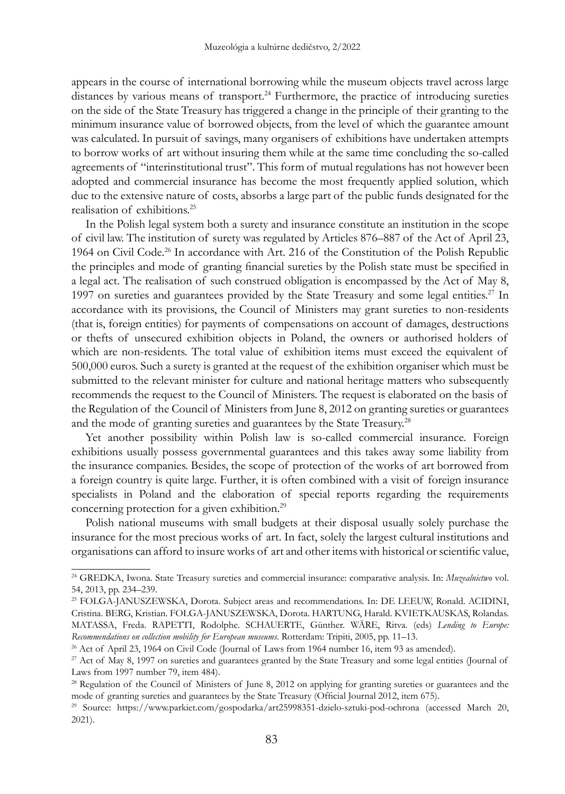appears in the course of international borrowing while the museum objects travel across large distances by various means of transport.<sup>24</sup> Furthermore, the practice of introducing sureties on the side of the State Treasury has triggered a change in the principle of their granting to the minimum insurance value of borrowed objects, from the level of which the guarantee amount was calculated. In pursuit of savings, many organisers of exhibitions have undertaken attempts to borrow works of art without insuring them while at the same time concluding the so-called agreements of "interinstitutional trust". This form of mutual regulations has not however been adopted and commercial insurance has become the most frequently applied solution, which due to the extensive nature of costs, absorbs a large part of the public funds designated for the realisation of exhibitions.25

In the Polish legal system both a surety and insurance constitute an institution in the scope of civil law. The institution of surety was regulated by Articles 876–887 of the Act of April 23, 1964 on Civil Code.<sup>26</sup> In accordance with Art. 216 of the Constitution of the Polish Republic the principles and mode of granting financial sureties by the Polish state must be specified in a legal act. The realisation of such construed obligation is encompassed by the Act of May 8, 1997 on sureties and guarantees provided by the State Treasury and some legal entities.<sup>27</sup> In accordance with its provisions, the Council of Ministers may grant sureties to non-residents (that is, foreign entities) for payments of compensations on account of damages, destructions or thefts of unsecured exhibition objects in Poland, the owners or authorised holders of which are non-residents. The total value of exhibition items must exceed the equivalent of 500,000 euros. Such a surety is granted at the request of the exhibition organiser which must be submitted to the relevant minister for culture and national heritage matters who subsequently recommends the request to the Council of Ministers. The request is elaborated on the basis of the Regulation of the Council of Ministers from June 8, 2012 on granting sureties or guarantees and the mode of granting sureties and guarantees by the State Treasury.<sup>28</sup>

Yet another possibility within Polish law is so-called commercial insurance. Foreign exhibitions usually possess governmental guarantees and this takes away some liability from the insurance companies. Besides, the scope of protection of the works of art borrowed from a foreign country is quite large. Further, it is often combined with a visit of foreign insurance specialists in Poland and the elaboration of special reports regarding the requirements concerning protection for a given exhibition.<sup>29</sup>

Polish national museums with small budgets at their disposal usually solely purchase the insurance for the most precious works of art. In fact, solely the largest cultural institutions and organisations can afford to insure works of art and other items with historical or scientific value,

<sup>24</sup> GREDKA, Iwona. State Treasury sureties and commercial insurance: comparative analysis. In: *Muzealnictwo* vol. 54, 2013, pp. 234–239.

<sup>25</sup> FOLGA-JANUSZEWSKA, Dorota. Subject areas and recommendations. In: DE LEEUW, Ronald. ACIDINI, Cristina. BERG, Kristian. FOLGA-JANUSZEWSKA, Dorota. HARTUNG, Harald. KVIETKAUSKAS, Rolandas. MATASSA, Freda. RAPETTI, Rodolphe. SCHAUERTE, Günther. WÄRE, Ritva. (eds) *Lending to Europe: Recommendations on collection mobility for European museums*. Rotterdam: Tripiti, 2005, pp. 11–13.

<sup>&</sup>lt;sup>26</sup> Act of April 23, 1964 on Civil Code (Journal of Laws from 1964 number 16, item 93 as amended).

<sup>&</sup>lt;sup>27</sup> Act of May 8, 1997 on sureties and guarantees granted by the State Treasury and some legal entities (Journal of Laws from 1997 number 79, item 484).

<sup>&</sup>lt;sup>28</sup> Regulation of the Council of Ministers of June 8, 2012 on applying for granting sureties or guarantees and the mode of granting sureties and guarantees by the State Treasury (Official Journal 2012, item 675).

<sup>29</sup> Source: https://www.parkiet.com/gospodarka/art25998351-dzielo-sztuki-pod-ochrona (accessed March 20, 2021).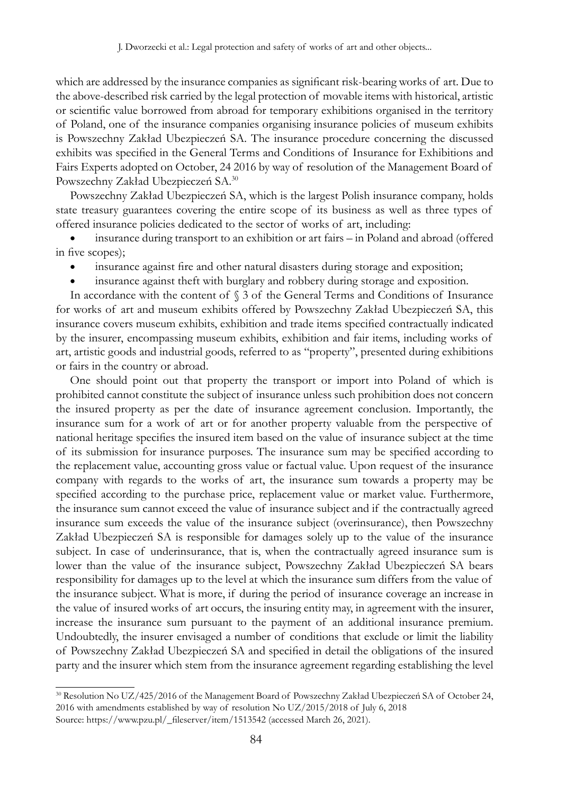which are addressed by the insurance companies as significant risk-bearing works of art. Due to the above-described risk carried by the legal protection of movable items with historical, artistic or scientific value borrowed from abroad for temporary exhibitions organised in the territory of Poland, one of the insurance companies organising insurance policies of museum exhibits is Powszechny Zakład Ubezpieczeń SA. The insurance procedure concerning the discussed exhibits was specified in the General Terms and Conditions of Insurance for Exhibitions and Fairs Experts adopted on October, 24 2016 by way of resolution of the Management Board of Powszechny Zakład Ubezpieczeń SA.30

Powszechny Zakład Ubezpieczeń SA, which is the largest Polish insurance company, holds state treasury guarantees covering the entire scope of its business as well as three types of offered insurance policies dedicated to the sector of works of art, including:

insurance during transport to an exhibition or art fairs – in Poland and abroad (offered in five scopes);

- insurance against fire and other natural disasters during storage and exposition;
- insurance against theft with burglary and robbery during storage and exposition.

In accordance with the content of  $\S$  3 of the General Terms and Conditions of Insurance for works of art and museum exhibits offered by Powszechny Zakład Ubezpieczeń SA, this insurance covers museum exhibits, exhibition and trade items specified contractually indicated by the insurer, encompassing museum exhibits, exhibition and fair items, including works of art, artistic goods and industrial goods, referred to as "property", presented during exhibitions or fairs in the country or abroad.

One should point out that property the transport or import into Poland of which is prohibited cannot constitute the subject of insurance unless such prohibition does not concern the insured property as per the date of insurance agreement conclusion. Importantly, the insurance sum for a work of art or for another property valuable from the perspective of national heritage specifies the insured item based on the value of insurance subject at the time of its submission for insurance purposes. The insurance sum may be specified according to the replacement value, accounting gross value or factual value. Upon request of the insurance company with regards to the works of art, the insurance sum towards a property may be specified according to the purchase price, replacement value or market value. Furthermore, the insurance sum cannot exceed the value of insurance subject and if the contractually agreed insurance sum exceeds the value of the insurance subject (overinsurance), then Powszechny Zakład Ubezpieczeń SA is responsible for damages solely up to the value of the insurance subject. In case of underinsurance, that is, when the contractually agreed insurance sum is lower than the value of the insurance subject, Powszechny Zakład Ubezpieczeń SA bears responsibility for damages up to the level at which the insurance sum differs from the value of the insurance subject. What is more, if during the period of insurance coverage an increase in the value of insured works of art occurs, the insuring entity may, in agreement with the insurer, increase the insurance sum pursuant to the payment of an additional insurance premium. Undoubtedly, the insurer envisaged a number of conditions that exclude or limit the liability of Powszechny Zakład Ubezpieczeń SA and specified in detail the obligations of the insured party and the insurer which stem from the insurance agreement regarding establishing the level

<sup>30</sup> Resolution No UZ/425/2016 of the Management Board of Powszechny Zakład Ubezpieczeń SA of October 24, 2016 with amendments established by way of resolution No UZ/2015/2018 of July 6, 2018 Source: https://www.pzu.pl/\_fileserver/item/1513542 (accessed March 26, 2021).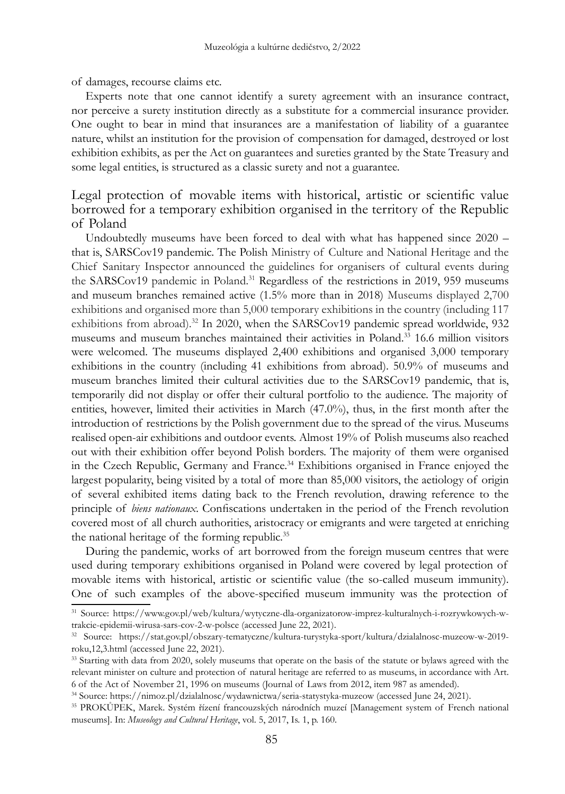of damages, recourse claims etc.

Experts note that one cannot identify a surety agreement with an insurance contract, nor perceive a surety institution directly as a substitute for a commercial insurance provider. One ought to bear in mind that insurances are a manifestation of liability of a guarantee nature, whilst an institution for the provision of compensation for damaged, destroyed or lost exhibition exhibits, as per the Act on guarantees and sureties granted by the State Treasury and some legal entities, is structured as a classic surety and not a guarantee.

# Legal protection of movable items with historical, artistic or scientific value borrowed for a temporary exhibition organised in the territory of the Republic of Poland

Undoubtedly museums have been forced to deal with what has happened since 2020 – that is, SARSCov19 pandemic. The Polish Ministry of Culture and National Heritage and the Chief Sanitary Inspector announced the guidelines for organisers of cultural events during the SARSCov19 pandemic in Poland.<sup>31</sup> Regardless of the restrictions in 2019, 959 museums and museum branches remained active (1.5% more than in 2018) Museums displayed 2,700 exhibitions and organised more than 5,000 temporary exhibitions in the country (including 117 exhibitions from abroad).<sup>32</sup> In 2020, when the SARSCov19 pandemic spread worldwide, 932 museums and museum branches maintained their activities in Poland.33 16.6 million visitors were welcomed. The museums displayed 2,400 exhibitions and organised 3,000 temporary exhibitions in the country (including 41 exhibitions from abroad). 50.9% of museums and museum branches limited their cultural activities due to the SARSCov19 pandemic, that is, temporarily did not display or offer their cultural portfolio to the audience. The majority of entities, however, limited their activities in March (47.0%), thus, in the first month after the introduction of restrictions by the Polish government due to the spread of the virus. Museums realised open-air exhibitions and outdoor events. Almost 19% of Polish museums also reached out with their exhibition offer beyond Polish borders. The majority of them were organised in the Czech Republic, Germany and France.<sup>34</sup> Exhibitions organised in France enjoyed the largest popularity, being visited by a total of more than 85,000 visitors, the aetiology of origin of several exhibited items dating back to the French revolution, drawing reference to the principle of *biens nationaux*. Confiscations undertaken in the period of the French revolution covered most of all church authorities, aristocracy or emigrants and were targeted at enriching the national heritage of the forming republic.<sup>35</sup>

During the pandemic, works of art borrowed from the foreign museum centres that were used during temporary exhibitions organised in Poland were covered by legal protection of movable items with historical, artistic or scientific value (the so-called museum immunity). One of such examples of the above-specified museum immunity was the protection of

<sup>31</sup> Source: https://www.gov.pl/web/kultura/wytyczne-dla-organizatorow-imprez-kulturalnych-i-rozrywkowych-wtrakcie-epidemii-wirusa-sars-cov-2-w-polsce (accessed June 22, 2021).

<sup>32</sup> Source: https://stat.gov.pl/obszary-tematyczne/kultura-turystyka-sport/kultura/dzialalnosc-muzeow-w-2019 roku,12,3.html (accessed June 22, 2021).

<sup>&</sup>lt;sup>33</sup> Starting with data from 2020, solely museums that operate on the basis of the statute or bylaws agreed with the relevant minister on culture and protection of natural heritage are referred to as museums, in accordance with Art. 6 of the Act of November 21, 1996 on museums (Journal of Laws from 2012, item 987 as amended).

<sup>34</sup> Source: https://nimoz.pl/dzialalnosc/wydawnictwa/seria-statystyka-muzeow (accessed June 24, 2021).

<sup>35</sup> PROKŮPEK, Marek. Systém řízení francouzských národních muzeí [Management system of French national museums]. In: *Museology and Cultural Heritage*, vol. 5, 2017, Is. 1, p. 160.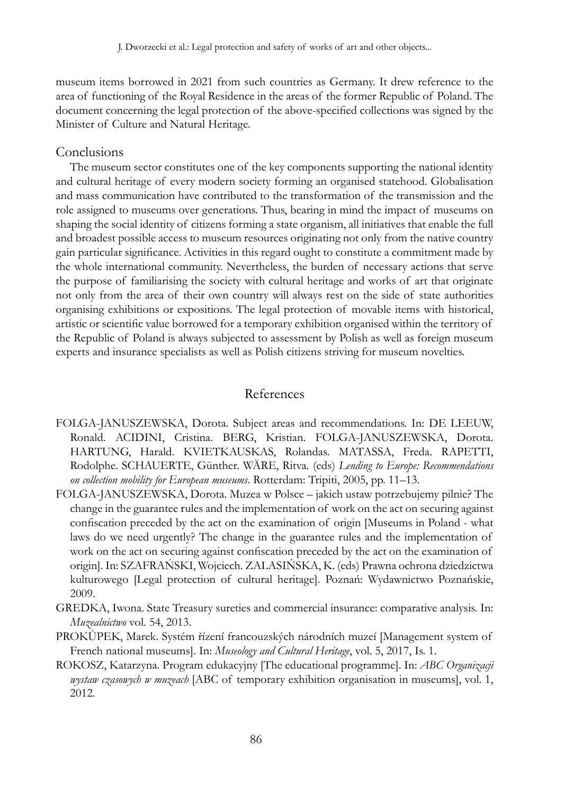museum items borrowed in 2021 from such countries as Germany. It drew reference to the area of functioning of the Royal Residence in the areas of the former Republic of Poland. The document concerning the legal protection of the above-specified collections was signed by the Minister of Culture and Natural Heritage.

### Conclusions

The museum sector constitutes one of the key components supporting the national identity and cultural heritage of every modern society forming an organised statehood. Globalisation and mass communication have contributed to the transformation of the transmission and the role assigned to museums over generations. Thus, bearing in mind the impact of museums on shaping the social identity of citizens forming a state organism, all initiatives that enable the full and broadest possible access to museum resources originating not only from the native country gain particular significance. Activities in this regard ought to constitute a commitment made by the whole international community. Nevertheless, the burden of necessary actions that serve the purpose of familiarising the society with cultural heritage and works of art that originate not only from the area of their own country will always rest on the side of state authorities organising exhibitions or expositions. The legal protection of movable items with historical, artistic or scientific value borrowed for a temporary exhibition organised within the territory of the Republic of Poland is always subjected to assessment by Polish as well as foreign museum experts and insurance specialists as well as Polish citizens striving for museum novelties.

### References

- FOLGA-JANUSZEWSKA, Dorota. Subject areas and recommendations. In: DE LEEUW, Ronald. ACIDINI, Cristina. BERG, Kristian. FOLGA-JANUSZEWSKA, Dorota. HARTUNG, Harald. KVIETKAUSKAS, Rolandas. MATASSA, Freda. RAPETTI, Rodolphe. SCHAUERTE, Günther. WÄRE, Ritva. (eds) *Lending to Europe: Recommendations on collection mobility for European museums*. Rotterdam: Tripiti, 2005, pp. 11–13.
- FOLGA-JANUSZEWSKA, Dorota. Muzea w Polsce jakich ustaw potrzebujemy pilnie? The change in the guarantee rules and the implementation of work on the act on securing against confiscation preceded by the act on the examination of origin [Museums in Poland - what laws do we need urgently? The change in the guarantee rules and the implementation of work on the act on securing against confiscation preceded by the act on the examination of origin]. In: SZAFRAŃSKI, Wojciech. ZALASIŃSKA, K. (eds) Prawna ochrona dziedzictwa kulturowego [Legal protection of cultural heritage]. Poznań: Wydawnictwo Poznańskie, 2009.
- GREDKA, Iwona. State Treasury sureties and commercial insurance: comparative analysis. In: *Muzealnictwo* vol. 54, 2013.
- PROKŮPEK, Marek. Systém řízení francouzských národních muzeí [Management system of French national museums]. In: *Museology and Cultural Heritage*, vol. 5, 2017, Is. 1.
- ROKOSZ, Katarzyna. Program edukacyjny [The educational programme]. In: *ABC Organizacji wystaw czasowych w muzeach* [ABC of temporary exhibition organisation in museums], vol. 1, 2012.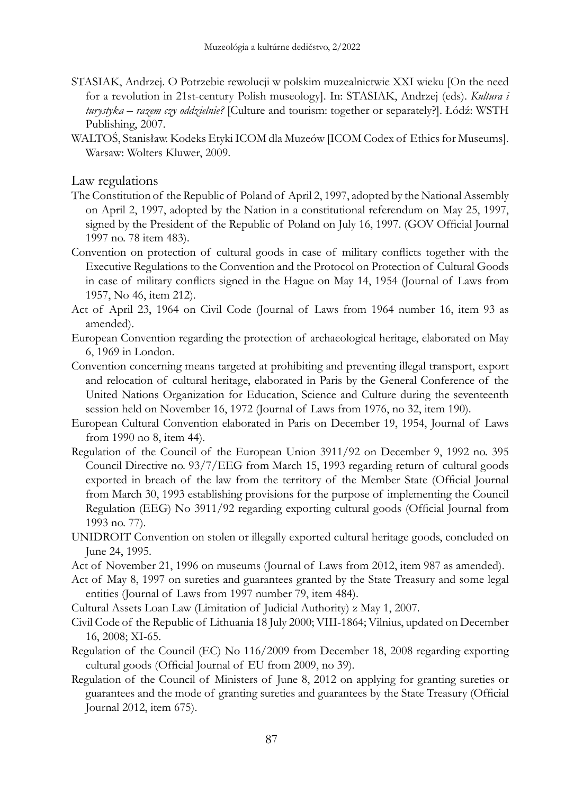- STASIAK, Andrzej. O Potrzebie rewolucji w polskim muzealnictwie XXI wieku [On the need for a revolution in 21st-century Polish museology]. In: STASIAK, Andrzej (eds). *Kultura i turystyka – razem czy oddzielnie?* [Culture and tourism: together or separately?]. Łódź: WSTH Publishing, 2007.
- WALTOŚ, Stanisław. Kodeks Etyki ICOM dla Muzeów [ICOM Codex of Ethics for Museums]. Warsaw: Wolters Kluwer, 2009.

Law regulations

- The Constitution of the Republic of Poland of April 2, 1997, adopted by the National Assembly on April 2, 1997, adopted by the Nation in a constitutional referendum on May 25, 1997, signed by the President of the Republic of Poland on July 16, 1997. (GOV Official Journal 1997 no. 78 item 483).
- Convention on protection of cultural goods in case of military conflicts together with the Executive Regulations to the Convention and the Protocol on Protection of Cultural Goods in case of military conflicts signed in the Hague on May 14, 1954 (Journal of Laws from 1957, No 46, item 212).
- Act of April 23, 1964 on Civil Code (Journal of Laws from 1964 number 16, item 93 as amended).
- European Convention regarding the protection of archaeological heritage, elaborated on May 6, 1969 in London.
- Convention concerning means targeted at prohibiting and preventing illegal transport, export and relocation of cultural heritage, elaborated in Paris by the General Conference of the United Nations Organization for Education, Science and Culture during the seventeenth session held on November 16, 1972 (Journal of Laws from 1976, no 32, item 190).
- European Cultural Convention elaborated in Paris on December 19, 1954, Journal of Laws from 1990 no 8, item 44).
- Regulation of the Council of the European Union 3911/92 on December 9, 1992 no. 395 Council Directive no. 93/7/EEG from March 15, 1993 regarding return of cultural goods exported in breach of the law from the territory of the Member State (Official Journal from March 30, 1993 establishing provisions for the purpose of implementing the Council Regulation (EEG) No 3911/92 regarding exporting cultural goods (Official Journal from 1993 no. 77).
- UNIDROIT Convention on stolen or illegally exported cultural heritage goods, concluded on June 24, 1995.
- Act of November 21, 1996 on museums (Journal of Laws from 2012, item 987 as amended).
- Act of May 8, 1997 on sureties and guarantees granted by the State Treasury and some legal entities (Journal of Laws from 1997 number 79, item 484).
- Cultural Assets Loan Law (Limitation of Judicial Authority) z May 1, 2007.
- Civil Code of the Republic of Lithuania 18 July 2000; VIII-1864; Vilnius, updated on December 16, 2008; XI-65.
- Regulation of the Council (EC) No 116/2009 from December 18, 2008 regarding exporting cultural goods (Official Journal of EU from 2009, no 39).
- Regulation of the Council of Ministers of June 8, 2012 on applying for granting sureties or guarantees and the mode of granting sureties and guarantees by the State Treasury (Official Journal 2012, item 675).